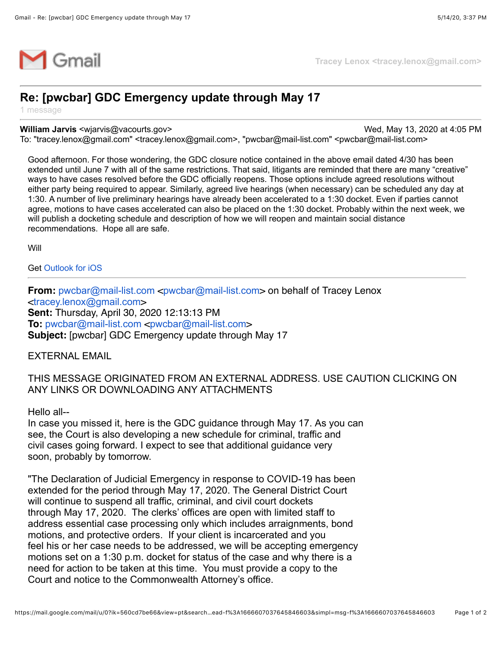

## **Re: [pwcbar] GDC Emergency update through May 17**

1 message

## **William Jarvis** <wjarvis@vacourts.gov> Wed, May 13, 2020 at 4:05 PM

To: "tracey.lenox@gmail.com" <tracey.lenox@gmail.com>, "pwcbar@mail-list.com" <pwcbar@mail-list.com>

Good afternoon. For those wondering, the GDC closure notice contained in the above email dated 4/30 has been extended until June 7 with all of the same restrictions. That said, litigants are reminded that there are many "creative" ways to have cases resolved before the GDC officially reopens. Those options include agreed resolutions without either party being required to appear. Similarly, agreed live hearings (when necessary) can be scheduled any day at 1:30. A number of live preliminary hearings have already been accelerated to a 1:30 docket. Even if parties cannot agree, motions to have cases accelerated can also be placed on the 1:30 docket. Probably within the next week, we will publish a docketing schedule and description of how we will reopen and maintain social distance recommendations. Hope all are safe.

Will

Get [Outlook for iOS](https://aka.ms/o0ukef)

**From:** [pwcbar@mail-list.com](mailto:pwcbar@mail-list.com) <pwcbar@mail-list.com> on behalf of Tracey Lenox <[tracey.lenox@gmail.com](mailto:tracey.lenox@gmail.com)> **Sent:** Thursday, April 30, 2020 12:13:13 PM **To:** [pwcbar@mail-list.com](mailto:pwcbar@mail-list.com) <[pwcbar@mail-list.com](mailto:pwcbar@mail-list.com)> **Subject:** [pwcbar] GDC Emergency update through May 17

## EXTERNAL EMAIL

## THIS MESSAGE ORIGINATED FROM AN EXTERNAL ADDRESS. USE CAUTION CLICKING ON ANY LINKS OR DOWNLOADING ANY ATTACHMENTS

Hello all--

In case you missed it, here is the GDC guidance through May 17. As you can see, the Court is also developing a new schedule for criminal, traffic and civil cases going forward. I expect to see that additional guidance very soon, probably by tomorrow.

"The Declaration of Judicial Emergency in response to COVID-19 has been extended for the period through May 17, 2020. The General District Court will continue to suspend all traffic, criminal, and civil court dockets through May 17, 2020. The clerks' offices are open with limited staff to address essential case processing only which includes arraignments, bond motions, and protective orders. If your client is incarcerated and you feel his or her case needs to be addressed, we will be accepting emergency motions set on a 1:30 p.m. docket for status of the case and why there is a need for action to be taken at this time. You must provide a copy to the Court and notice to the Commonwealth Attorney's office.